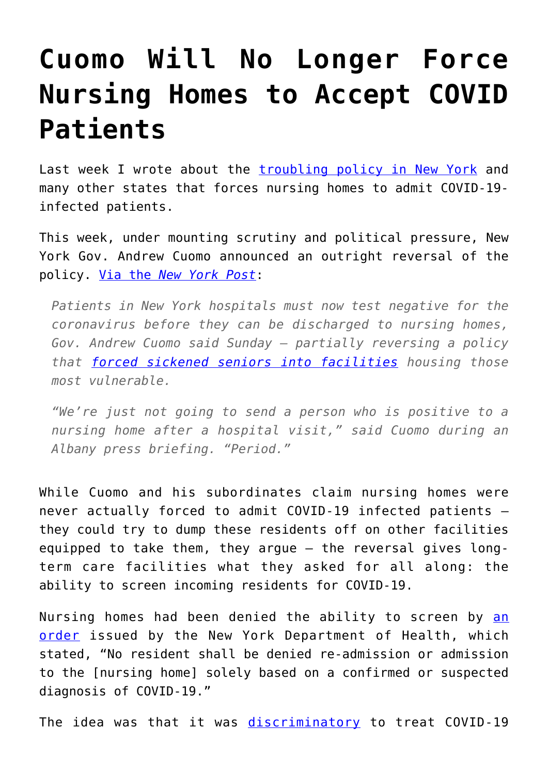## **[Cuomo Will No Longer Force](https://intellectualtakeout.org/2020/05/cuomo-will-no-longer-force-nursing-homes-to-accept-covid-patients/) [Nursing Homes to Accept COVID](https://intellectualtakeout.org/2020/05/cuomo-will-no-longer-force-nursing-homes-to-accept-covid-patients/) [Patients](https://intellectualtakeout.org/2020/05/cuomo-will-no-longer-force-nursing-homes-to-accept-covid-patients/)**

Last week I wrote about the *[troubling policy in New York](https://fee.org/articles/how-states-turned-nursing-homes-into-slaughter-houses-by-forcing-them-to-admit-discharged-covid-19-patients/)* and many other states that forces nursing homes to admit COVID-19 infected patients.

This week, under mounting scrutiny and political pressure, New York Gov. Andrew Cuomo announced an outright reversal of the policy. [Via the](https://nypost.com/2020/05/10/cuomo-was-wrong-to-order-nursing-homes-to-accept-coronavirus-patients/?utm_source=facebook_sitebuttons&utm_medium=site+buttons&utm_campaign=site+buttons&fbclid=IwAR241ZHIdGBOXkNafqhQASb6Q4ADXtWrBkXCOWOOF8Fgp6OBmF2NPZV4yfI) *[New York Post](https://nypost.com/2020/05/10/cuomo-was-wrong-to-order-nursing-homes-to-accept-coronavirus-patients/?utm_source=facebook_sitebuttons&utm_medium=site+buttons&utm_campaign=site+buttons&fbclid=IwAR241ZHIdGBOXkNafqhQASb6Q4ADXtWrBkXCOWOOF8Fgp6OBmF2NPZV4yfI)*:

*Patients in New York hospitals must now test negative for the coronavirus before they can be discharged to nursing homes, Gov. Andrew Cuomo said Sunday – partially reversing a policy that [forced sickened seniors into facilities](https://nypost.com/2020/04/20/cuomo-didnt-know-coronavirus-patients-are-being-sent-back-to-nursing-homes/) housing those most vulnerable.*

*"We're just not going to send a person who is positive to a nursing home after a hospital visit," said Cuomo during an Albany press briefing. "Period."*

While Cuomo and his subordinates claim nursing homes were never actually forced to admit COVID-19 infected patients – they could try to dump these residents off on other facilities equipped to take them, they argue – the reversal gives longterm care facilities what they asked for all along: the ability to screen incoming residents for COVID-19.

Nursing homes had been denied the ability to screen by [an](https://coronavirus.health.ny.gov/system/files/documents/2020/03/doh_covid19-_nhadmissionsreadmissions_-032520.pdf) [order](https://coronavirus.health.ny.gov/system/files/documents/2020/03/doh_covid19-_nhadmissionsreadmissions_-032520.pdf) issued by the New York Department of Health, which stated, "No resident shall be denied re-admission or admission to the [nursing home] solely based on a confirmed or suspected diagnosis of COVID-19."

The idea was that it was [discriminatory](https://nypost.com/2020/04/25/new-york-lacked-common-sense-in-nursing-homes-coronavirus-approach/) to treat COVID-19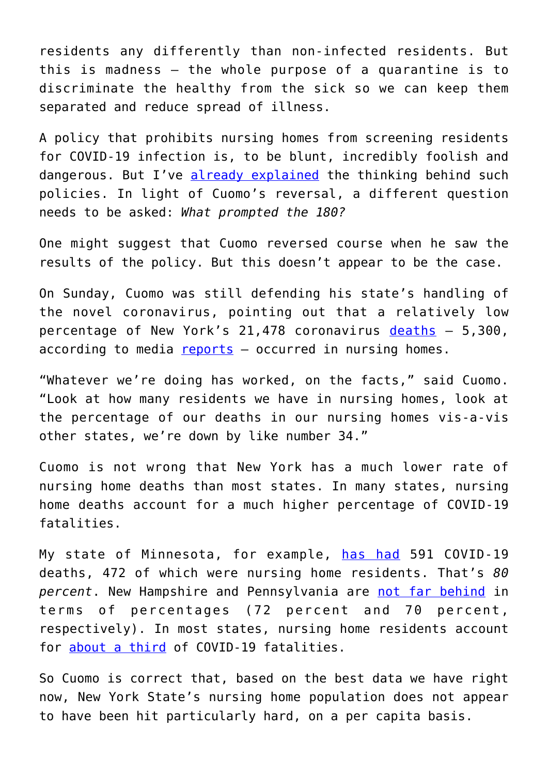residents any differently than non-infected residents. But this is madness – the whole purpose of a quarantine is to discriminate the healthy from the sick so we can keep them separated and reduce spread of illness.

A policy that prohibits nursing homes from screening residents for COVID-19 infection is, to be blunt, incredibly foolish and dangerous. But I've [already explained](https://fee.org/articles/how-states-turned-nursing-homes-into-slaughter-houses-by-forcing-them-to-admit-discharged-covid-19-patients/) the thinking behind such policies. In light of Cuomo's reversal, a different question needs to be asked: *What prompted the 180?*

One might suggest that Cuomo reversed course when he saw the results of the policy. But this doesn't appear to be the case.

On Sunday, Cuomo was still defending his state's handling of the novel coronavirus, pointing out that a relatively low percentage of New York's 21,478 coronavirus [deaths](https://www1.nyc.gov/site/doh/covid/covid-19-data.page) – 5,300, according to media [reports](https://www.nbcnewyork.com/news/local/cuomo-reverses-nursing-home-directive-to-take-covid-19-patients-requires-more-staff-testing/2410533/) – occurred in nursing homes.

"Whatever we're doing has worked, on the facts," said Cuomo. "Look at how many residents we have in nursing homes, look at the percentage of our deaths in our nursing homes vis-a-vis other states, we're down by like number 34."

Cuomo is not wrong that New York has a much lower rate of nursing home deaths than most states. In many states, nursing home deaths account for a much higher percentage of COVID-19 fatalities.

My state of Minnesota, for example, [has had](https://www.fox9.com/news/minnesota-covid-19-deaths-increase-to-591-nearly-80-percent-in-long-term-care-facilities) 591 COVID-19 deaths, 472 of which were nursing home residents. That's *80 percent*. New Hampshire and Pennsylvania are [not far behind](https://www.kff.org/health-costs/issue-brief/state-data-and-policy-actions-to-address-coronavirus/) in terms of percentages (72 percent and 70 percent, respectively). In most states, nursing home residents account for [about a third](https://www.npr.org/sections/coronavirus-live-updates/2020/05/09/853182496/for-most-states-at-least-a-third-of-covid-19-deaths-are-in-long-term-care-facili) of COVID-19 fatalities.

So Cuomo is correct that, based on the best data we have right now, New York State's nursing home population does not appear to have been hit particularly hard, on a per capita basis.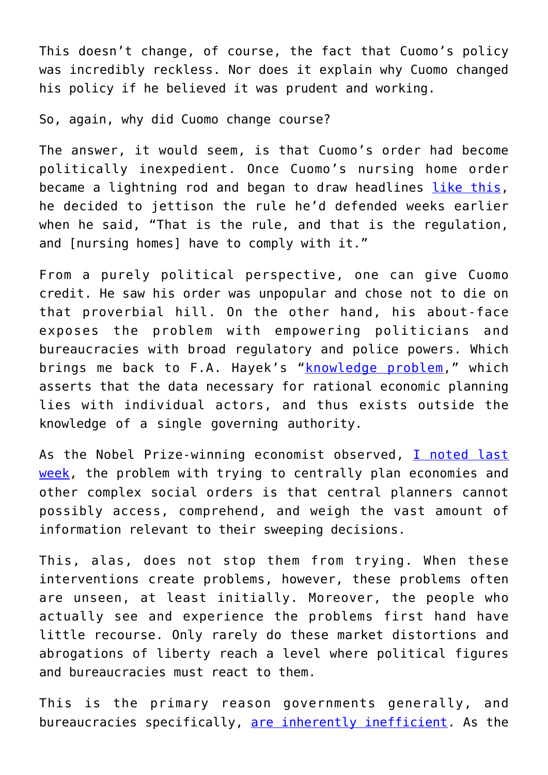This doesn't change, of course, the fact that Cuomo's policy was incredibly reckless. Nor does it explain why Cuomo changed his policy if he believed it was prudent and working.

So, again, why did Cuomo change course?

The answer, it would seem, is that Cuomo's order had become politically inexpedient. Once Cuomo's nursing home order became a lightning rod and began to draw headlines [like this,](https://www.buckscountycouriertimes.com/news/20200501/states-ordered-nursing-homes-to-take-covid-19-residents-thousands-died-how-it-happened) he decided to jettison the rule he'd defended weeks earlier when he said, "That is the rule, and that is the regulation, and [nursing homes] have to comply with it."

From a purely political perspective, one can give Cuomo credit. He saw his order was unpopular and chose not to die on that proverbial hill. On the other hand, his about-face exposes the problem with empowering politicians and bureaucracies with broad regulatory and police powers. Which brings me back to F.A. Hayek's "[knowledge problem,](https://en.wikipedia.org/wiki/Local_knowledge_problem)" which asserts that the data necessary for rational economic planning lies with individual actors, and thus exists outside the knowledge of a single governing authority.

As the Nobel Prize-winning economist observed, [I noted last](https://fee.org/articles/how-states-turned-nursing-homes-into-slaughter-houses-by-forcing-them-to-admit-discharged-covid-19-patients/?utm_source=zapier&fbclid=IwAR0LpVn2fxujSG1Ec7Sd3BW34zRoKK4Gu4xg9nndWXttFaLzcnKZkSRc1h0) [week,](https://fee.org/articles/how-states-turned-nursing-homes-into-slaughter-houses-by-forcing-them-to-admit-discharged-covid-19-patients/?utm_source=zapier&fbclid=IwAR0LpVn2fxujSG1Ec7Sd3BW34zRoKK4Gu4xg9nndWXttFaLzcnKZkSRc1h0) the problem with trying to centrally plan economies and other complex social orders is that central planners cannot possibly access, comprehend, and weigh the vast amount of information relevant to their sweeping decisions.

This, alas, does not stop them from trying. When these interventions create problems, however, these problems often are unseen, at least initially. Moreover, the people who actually see and experience the problems first hand have little recourse. Only rarely do these market distortions and abrogations of liberty reach a level where political figures and bureaucracies must react to them.

This is the primary reason governments generally, and bureaucracies specifically, [are inherently inefficient.](https://fee.org/articles/the-inherent-inefficiency-of-government-bureaucracy/) As the